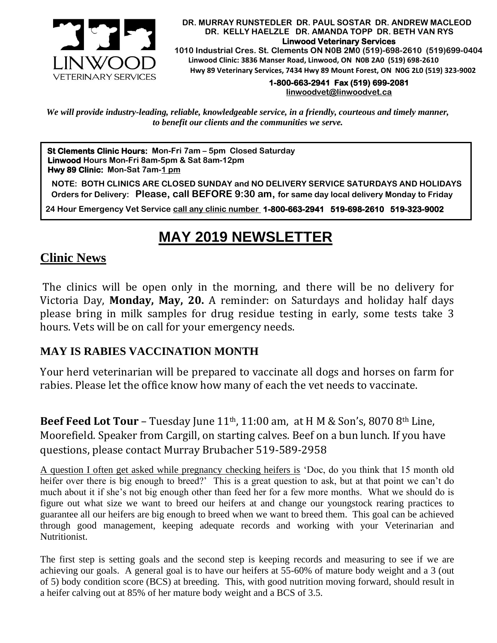

#### **DR. MURRAY RUNSTEDLER DR. PAUL SOSTAR DR. ANDREW MACLEOD DR. KELLY HAELZLE DR. AMANDA TOPP DR. BETH VAN RYS Linwood Veterinary Services**

 **1010 Industrial Cres. St. Clements ON N0B 2M0 (519)-698-2610 (519)699-0404 Linwood Clinic: 3836 Manser Road, Linwood, ON N0B 2A0 (519) 698-2610 Hwy 89 Veterinary Services, 7434 Hwy 89 Mount Forest, ON N0G 2L0 (519) 323-9002**

# **1-800-663-2941 Fax (519) 699-2081**

**[linwoodvet@linwoodvet.ca](mailto:linwoodvet@linwoodvet.ca)**

*We will provide industry-leading, reliable, knowledgeable service, in a friendly, courteous and timely manner, to benefit our clients and the communities we serve.*

**St Clements Clinic Hours: Mon-Fri 7am – 5pm Closed Saturday Linwood Hours Mon-Fri 8am-5pm & Sat 8am-12pm Hwy 89 Clinic: Mon-Sat 7am-1 pm**

 **NOTE: BOTH CLINICS ARE CLOSED SUNDAY and NO DELIVERY SERVICE SATURDAYS AND HOLIDAYS Orders for Delivery: Please, call BEFORE 9:30 am, for same day local delivery Monday to Friday** 

 **24 Hour Emergency Vet Service call any clinic number 1-800-663-2941 519-698-2610 519-323-9002**

# **MAY 2019 NEWSLETTER**

# **Clinic News**

The clinics will be open only in the morning, and there will be no delivery for Victoria Day, **Monday, May, 20.** A reminder: on Saturdays and holiday half days victoria Day, **monday, may, 20.** A reminder: on saturdays and nonday han days<br>please bring in milk samples for drug residue testing in early, some tests take 3 hours. Vets will be on call for your emergency needs.

# **MAY IS RABIES VACCINATION MONTH**

Your herd veterinarian will be prepared to vaccinate all dogs and horses on farm for rabies. Please let the office know how many of each the vet needs to vaccinate.

**Beef Feed Lot Tour** – Tuesday June 11<sup>th</sup>, 11:00 am, at H M & Son's, 8070 8<sup>th</sup> Line, Moorefield. Speaker from Cargill, on starting calves. Beef on a bun lunch. If you have questions, please contact Murray Brubacher 519-589-2958

A question I often get asked while pregnancy checking heifers is 'Doc, do you think that 15 month old heifer over there is big enough to breed?' This is a great question to ask, but at that point we can't do much about it if she's not big enough other than feed her for a few more months. What we should do is figure out what size we want to breed our heifers at and change our youngstock rearing practices to guarantee all our heifers are big enough to breed when we want to breed them. This goal can be achieved through good management, keeping adequate records and working with your Veterinarian and Nutritionist.

The first step is setting goals and the second step is keeping records and measuring to see if we are achieving our goals. A general goal is to have our heifers at 55-60% of mature body weight and a 3 (out of 5) body condition score (BCS) at breeding. This, with good nutrition moving forward, should result in a heifer calving out at 85% of her mature body weight and a BCS of 3.5.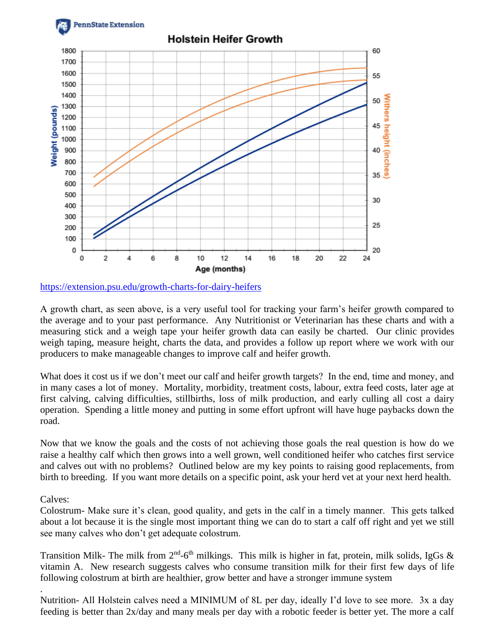

<https://extension.psu.edu/growth-charts-for-dairy-heifers>

A growth chart, as seen above, is a very useful tool for tracking your farm's heifer growth compared to the average and to your past performance. Any Nutritionist or Veterinarian has these charts and with a measuring stick and a weigh tape your heifer growth data can easily be charted. Our clinic provides weigh taping, measure height, charts the data, and provides a follow up report where we work with our producers to make manageable changes to improve calf and heifer growth.

What does it cost us if we don't meet our calf and heifer growth targets? In the end, time and money, and in many cases a lot of money. Mortality, morbidity, treatment costs, labour, extra feed costs, later age at first calving, calving difficulties, stillbirths, loss of milk production, and early culling all cost a dairy operation. Spending a little money and putting in some effort upfront will have huge paybacks down the road.

Now that we know the goals and the costs of not achieving those goals the real question is how do we raise a healthy calf which then grows into a well grown, well conditioned heifer who catches first service and calves out with no problems? Outlined below are my key points to raising good replacements, from birth to breeding. If you want more details on a specific point, ask your herd vet at your next herd health.

Calves:

.

Colostrum- Make sure it's clean, good quality, and gets in the calf in a timely manner. This gets talked about a lot because it is the single most important thing we can do to start a calf off right and yet we still see many calves who don't get adequate colostrum.

Transition Milk- The milk from  $2<sup>nd</sup>$ -6<sup>th</sup> milkings. This milk is higher in fat, protein, milk solids, IgGs & vitamin A. New research suggests calves who consume transition milk for their first few days of life following colostrum at birth are healthier, grow better and have a stronger immune system

Nutrition- All Holstein calves need a MINIMUM of 8L per day, ideally I'd love to see more. 3x a day feeding is better than 2x/day and many meals per day with a robotic feeder is better yet. The more a calf